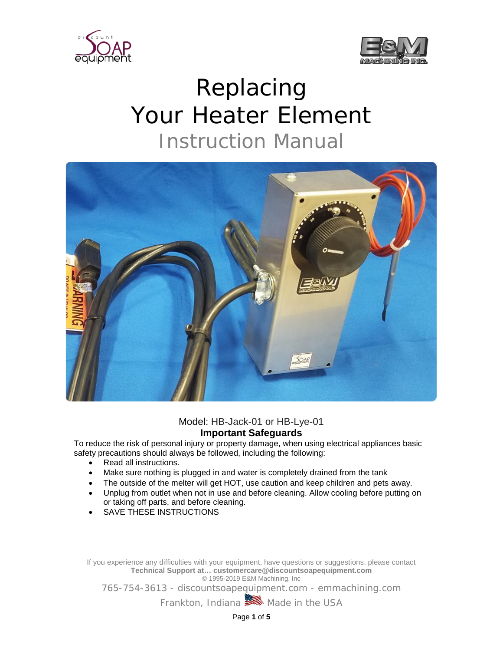



## Replacing Your Heater Element Instruction Manual



## Model: HB-Jack-01 or HB-Lye-01 **Important Safeguards**

To reduce the risk of personal injury or property damage, when using electrical appliances basic safety precautions should always be followed, including the following:

- Read all instructions.
- Make sure nothing is plugged in and water is completely drained from the tank
- The outside of the melter will get HOT, use caution and keep children and pets away.
- Unplug from outlet when not in use and before cleaning. Allow cooling before putting on or taking off parts, and before cleaning.
- SAVE THESE INSTRUCTIONS

If you experience any difficulties with your equipment, have questions or suggestions, please contact **Technical Support at… customercare@discountsoapequipment.com** © 1995-2019 E&M Machining, Inc

765-754-3613 - discountsoapequipment.com - emmachining.com

Frankton, Indiana **Made in the USA** 

Page **1** of **5**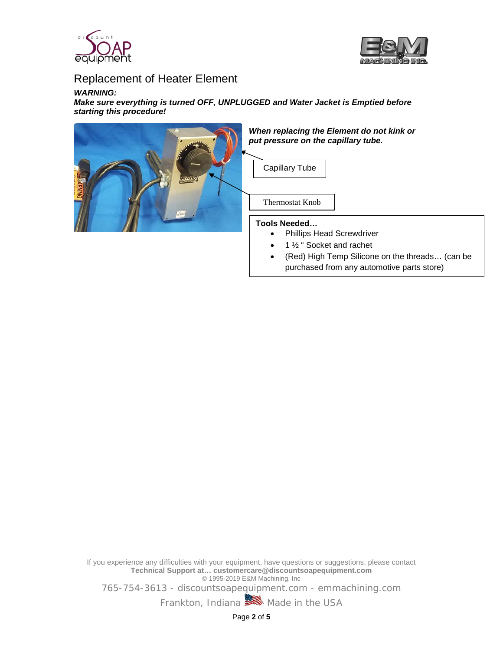



## Replacement of Heater Element

## *WARNING:*

*Make sure everything is turned OFF, UNPLUGGED and Water Jacket is Emptied before starting this procedure!*



If you experience any difficulties with your equipment, have questions or suggestions, please contact **Technical Support at… customercare@discountsoapequipment.com** © 1995-2019 E&M Machining, Inc

765-754-3613 - discountsoapequipment.com - emmachining.com

Frankton, Indiana **Made in the USA** 

Page **2** of **5**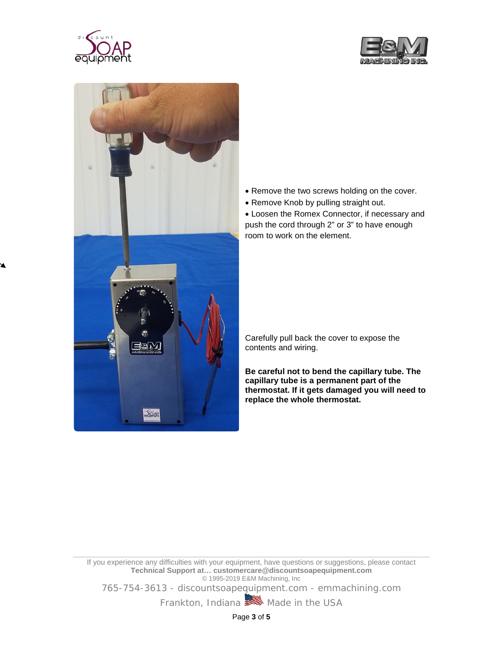





- Remove the two screws holding on the cover.
- Remove Knob by pulling straight out.

• Loosen the Romex Connector, if necessary and push the cord through 2" or 3" to have enough room to work on the element.

Carefully pull back the cover to expose the contents and wiring.

**Be careful not to bend the capillary tube. The capillary tube is a permanent part of the thermostat. If it gets damaged you will need to replace the whole thermostat.**

If you experience any difficulties with your equipment, have questions or suggestions, please contact **Technical Support at… customercare@discountsoapequipment.com** © 1995-2019 E&M Machining, Inc

765-754-3613 - discountsoapequipment.com - emmachining.com

Frankton, Indiana **Made in the USA** 

Page **3** of **5**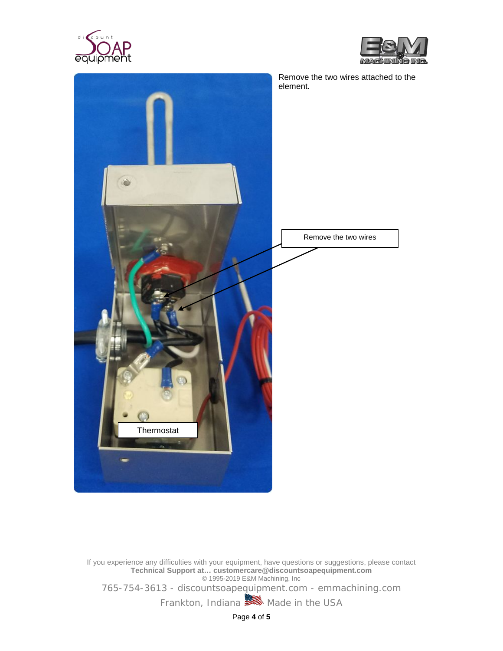





If you experience any difficulties with your equipment, have questions or suggestions, please contact **Technical Support at… customercare@discountsoapequipment.com** © 1995-2019 E&M Machining, Inc

765-754-3613 - discountsoapequipment.com - emmachining.com

Frankton, Indiana Made in the USA

Page **4** of **5**